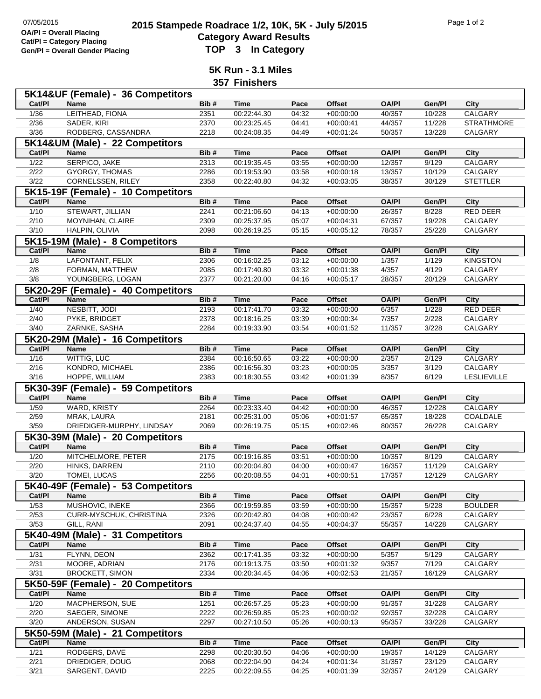## **2015 Stampede Roadrace 1/2, 10K, 5K - July 5/2015** Page 1 of 2<br> **2015 Stampede Roadrace 1/2, 10K, 5K - July 5/2015 Category Award Results Gen/Pl = Overall Gender Placing TOP 3 In Category**

**5K Run - 3.1 Miles**

**357 Finishers**

|                | 5K14&UF (Female) - 36 Competitors          |      |                            |       |               |              |                 |                    |
|----------------|--------------------------------------------|------|----------------------------|-------|---------------|--------------|-----------------|--------------------|
| Cat/PI         | <b>Name</b>                                | Bib# | <b>Time</b>                | Pace  | <b>Offset</b> | <b>OA/PI</b> | Gen/Pl          | City               |
| 1/36           | LEITHEAD, FIONA                            | 2351 | 00:22:44.30                | 04:32 | $+00:00:00$   | 40/357       | 10/228          | <b>CALGARY</b>     |
| 2/36           | <b>SADER, KIRI</b>                         | 2370 | 00:23:25.45                | 04:41 | $+00:00:41$   | 44/357       | 11/228          | <b>STRATHMORE</b>  |
| 3/36           | RODBERG, CASSANDRA                         | 2218 | 00:24:08.35                | 04:49 | $+00:01:24$   | 50/357       | 13/228          | CALGARY            |
|                | 5K14&UM (Male) - 22 Competitors            |      |                            |       |               |              |                 |                    |
| Cat/Pl         | <b>Name</b>                                | Bib# | <b>Time</b>                | Pace  | <b>Offset</b> | <b>OA/PI</b> | Gen/Pl          | City               |
| $1/22$         | SERPICO, JAKE                              | 2313 | 00:19:35.45                | 03:55 | $+00:00:00$   | 12/357       | 9/129           | CALGARY            |
| 2/22           | <b>GYORGY, THOMAS</b>                      | 2286 | 00:19:53.90                | 03:58 | $+00:00:18$   | 13/357       | 10/129          | <b>CALGARY</b>     |
| $\frac{3}{22}$ | <b>CORNELSSEN, RILEY</b>                   |      |                            |       | $+00:03:05$   |              |                 |                    |
|                |                                            | 2358 | 00:22:40.80                | 04:32 |               | 38/357       | 30/129          | <b>STETTLER</b>    |
|                | 5K15-19F (Female) - 10 Competitors         |      |                            |       |               |              |                 |                    |
| Cat/PI         | <b>Name</b>                                | Bib# | <b>Time</b>                | Pace  | <b>Offset</b> | <b>OA/PI</b> | Gen/Pl          | City               |
| $\frac{1}{10}$ | STEWART, JILLIAN                           | 2241 | 00:21:06.60                | 04:13 | $+00:00:00$   | 26/357       | 8/228           | <b>RED DEER</b>    |
| 2/10           | MOYNIHAN, CLAIRE                           | 2309 | 00:25:37.95                | 05:07 | $+00:04:31$   | 67/357       | 19/228          | CALGARY            |
| 3/10           | <b>HALPIN, OLIVIA</b>                      | 2098 | 00:26:19.25                | 05:15 | $+00:05:12$   | 78/357       | 25/228          | CALGARY            |
|                | 5K15-19M (Male) - 8 Competitors            |      |                            |       |               |              |                 |                    |
| Cat/PI         | <b>Name</b>                                | Bib# | <b>Time</b>                | Pace  | Offset        | <b>OA/PI</b> | Gen/Pl          | <b>City</b>        |
| 1/8            | LAFONTANT, FELIX                           | 2306 | 00:16:02.25                | 03:12 | $+00:00:00$   | 1/357        | 1/129           | <b>KINGSTON</b>    |
| 2/8            | FORMAN, MATTHEW                            | 2085 | 00:17:40.80                | 03:32 | $+00:01:38$   | 4/357        | 4/129           | CALGARY            |
| 3/8            | YOUNGBERG, LOGAN                           | 2377 | 00:21:20.00                | 04:16 | $+00:05:17$   | 28/357       | 20/129          | CALGARY            |
|                | 5K20-29F (Female) - 40 Competitors         |      |                            |       |               |              |                 |                    |
| Cat/PI         | Name                                       | Bib# | <b>Time</b>                | Pace  | <b>Offset</b> | <b>OA/PI</b> | Gen/Pl          | City               |
| $\frac{1}{40}$ | NESBITT, JODI                              | 2193 | 00:17:41.70                | 03:32 | $+00:00:00$   | 6/357        | 1/228           | <b>RED DEER</b>    |
| 2/40           | PYKE, BRIDGET                              | 2378 | 00:18:16.25                | 03:39 | $+00:00:34$   | 7/357        | 2/228           | CALGARY            |
| 3/40           | ZARNKE, SASHA                              | 2284 | 00:19:33.90                | 03:54 | $+00:01:52$   | 11/357       | 3/228           | CALGARY            |
|                |                                            |      |                            |       |               |              |                 |                    |
| Cat/PI         | 5K20-29M (Male) - 16 Competitors           | Bib# | <b>Time</b>                | Pace  | <b>Offset</b> | <b>OA/PI</b> | Gen/Pl          |                    |
|                | Name                                       |      |                            |       |               |              |                 | <b>City</b>        |
| $\frac{1}{16}$ | WITTIG, LUC                                | 2384 | 00:16:50.65                | 03:22 | $+00:00:00$   | 2/357        | 2/129           | <b>CALGARY</b>     |
| 2/16           | KONDRO, MICHAEL                            | 2386 | 00:16:56.30                | 03:23 | $+00:00:05$   | 3/357        | 3/129           | CALGARY            |
| 3/16           | HOPPE, WILLIAM                             | 2383 | 00:18:30.55                | 03:42 | $+00:01:39$   | 8/357        | 6/129           | <b>LESLIEVILLE</b> |
|                | 5K30-39F (Female) - 59 Competitors         |      |                            |       |               |              |                 |                    |
|                | <b>Name</b>                                | Bib# | <b>Time</b>                | Pace  | <b>Offset</b> | <b>OA/PI</b> | Gen/Pl          | City               |
| Cat/PI         |                                            |      |                            |       |               |              |                 |                    |
| $\frac{1}{59}$ | <b>WARD, KRISTY</b>                        | 2264 | 00:23:33.40                | 04:42 | $+00:00:00$   | 46/357       | 12/228          | CALGARY            |
| 2/59           | MRAK, LAURA                                | 2181 | 00:25:31.00                | 05:06 | $+00:01:57$   | 65/357       | 18/228          | COALDALE           |
| 3/59           | DRIEDIGER-MURPHY, LINDSAY                  | 2069 | 00:26:19.75                | 05:15 | $+00:02:46$   | 80/357       | 26/228          | CALGARY            |
|                | 5K30-39M (Male) - 20 Competitors           |      |                            |       |               |              |                 |                    |
| Cat/PI         | <b>Name</b>                                | Bib# | <b>Time</b>                | Pace  | <b>Offset</b> | <b>OA/PI</b> | Gen/Pl          | <b>City</b>        |
| 1/20           | MITCHELMORE, PETER                         | 2175 | 00:19:16.85                | 03:51 | $+00:00:00$   | 10/357       | 8/129           | <b>CALGARY</b>     |
| 2/20           | HINKS, DARREN                              | 2110 | 00:20:04.80                | 04:00 | $+00:00:47$   | 16/357       | 11/129          | CALGARY            |
| 3/20           | TOMEI, LUCAS                               | 2256 | 00:20:08.55                | 04:01 | $+00:00:51$   | 17/357       | 12/129          | CALGARY            |
|                |                                            |      |                            |       |               |              |                 |                    |
| Cat/PI         | 5K40-49F (Female) - 53 Competitors<br>Name |      | <b>Time</b>                | Pace  |               | <b>OA/PI</b> |                 |                    |
|                |                                            | Bib# |                            |       | Offset        |              | Gen/Pl          | City               |
| 1/53           | MUSHOVIC, INEKE<br>CURR-MYSCHUK, CHRISTINA | 2366 | 00:19:59.85                | 03:59 | $+00:00:00$   | 15/357       | 5/228           | <b>BOULDER</b>     |
| 2/53           |                                            | 2326 | 00:20:42.80<br>00:24:37.40 | 04:08 | $+00:00:42$   | 23/357       | 6/228<br>14/228 | CALGARY            |
| $\frac{3}{53}$ | GILL, RANI                                 | 2091 |                            | 04:55 | $+00:04:37$   | 55/357       |                 | CALGARY            |
|                | 5K40-49M (Male) - 31 Competitors           |      |                            |       |               |              |                 |                    |
| Cat/PI         | Name                                       | Bib# | <b>Time</b>                | Pace  | Offset        | <b>OA/PI</b> | Gen/Pl          | City               |
| $\frac{1}{31}$ | FLYNN, DEON                                | 2362 | 00:17:41.35                | 03:32 | $+00:00:00$   | 5/357        | 5/129           | <b>CALGARY</b>     |
| 2/31           | MOORE, ADRIAN                              | 2176 | 00:19:13.75                | 03:50 | $+00:01:32$   | 9/357        | 7/129           | CALGARY            |
| 3/31           | <b>BROCKETT, SIMON</b>                     | 2334 | 00:20:34.45                | 04:06 | $+00:02:53$   | 21/357       | 16/129          | CALGARY            |
|                | 5K50-59F (Female) - 20 Competitors         |      |                            |       |               |              |                 |                    |
| Cat/PI         | Name                                       | Bib# | Time                       | Pace  | Offset        | <b>OA/PI</b> | Gen/Pl          | City               |
| 1/20           | MACPHERSON, SUE                            | 1251 | 00:26:57.25                | 05:23 | $+00:00:00$   | 91/357       | 31/228          | <b>CALGARY</b>     |
| 2/20           | SAEGER, SIMONE                             | 2222 | 00:26:59.85                | 05:23 | $+00:00:02$   | 92/357       | 32/228          | CALGARY            |
| 3/20           | ANDERSON, SUSAN                            | 2297 | 00:27:10.50                | 05:26 | $+00:00:13$   | 95/357       | 33/228          | CALGARY            |
|                | 5K50-59M (Male) - 21 Competitors           |      |                            |       |               |              |                 |                    |
| Cat/PI         | <b>Name</b>                                | Bib# | <b>Time</b>                | Pace  | Offset        | <b>OA/PI</b> | Gen/Pl          | City               |
| $\frac{1}{21}$ | RODGERS, DAVE                              | 2298 | 00:20:30.50                | 04:06 | $+00:00:00$   | 19/357       | 14/129          | <b>CALGARY</b>     |
| 2/21           | DRIEDIGER, DOUG                            | 2068 | 00:22:04.90<br>00:22:09.55 | 04:24 | $+00:01:34$   | 31/357       | 23/129          | CALGARY            |